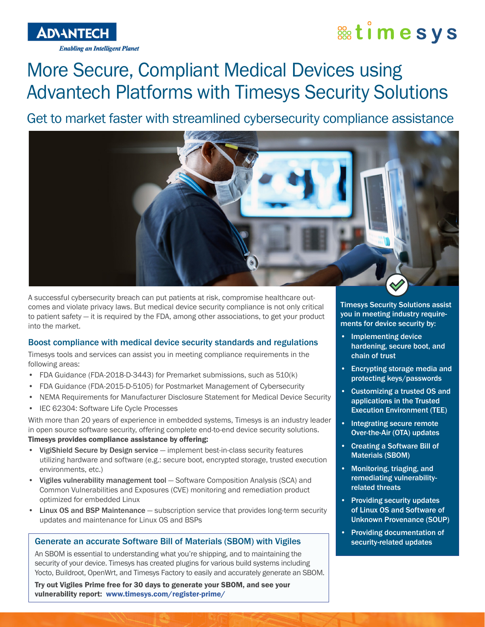# **Sestimesys**

**Enabling an Intelligent Planet** 

**ADYANTECH** 

## More Secure, Compliant Medical Devices using Advantech Platforms with Timesys Security Solutions

Get to market faster with streamlined cybersecurity compliance assistance



A successful cybersecurity breach can put patients at risk, compromise healthcare outcomes and violate privacy laws. But medical device security compliance is not only critical to patient safety — it is required by the FDA, among other associations, to get your product into the market.

### Boost compliance with medical device security standards and regulations

Timesys tools and services can assist you in meeting compliance requirements in the following areas:

- FDA Guidance (FDA-2018-D-3443) for Premarket submissions, such as 510(k)
- FDA Guidance (FDA-2015-D-5105) for Postmarket Management of Cybersecurity
- NEMA Requirements for Manufacturer Disclosure Statement for Medical Device Security
- IEC 62304: Software Life Cycle Processes

With more than 20 years of experience in embedded systems, Timesys is an industry leader in open source software security, offering complete end-to-end device security solutions. Timesys provides compliance assistance by offering:

- VigiShield Secure by Design service implement best-in-class security features utilizing hardware and software (e.g.: secure boot, encrypted storage, trusted execution environments, etc.)
- Vigiles vulnerability management tool Software Composition Analysis (SCA) and Common Vulnerabilities and Exposures (CVE) monitoring and remediation product optimized for embedded Linux
- Linux OS and BSP Maintenance subscription service that provides long-term security updates and maintenance for Linux OS and BSPs

### Generate an accurate Software Bill of Materials (SBOM) with Vigiles security-related updates

An SBOM is essential to understanding what you're shipping, and to maintaining the security of your device. Timesys has created plugins for various build systems including Yocto, Buildroot, OpenWrt, and Timesys Factory to easily and accurately generate an SBOM.

Try out Vigiles Prime free for 30 days to generate your SBOM, and see your vulnerability report: [www.timesys.com/register-prime](https://www.timesys.com/register-prime/)/

Timesys Security Solutions assist you in meeting industry requirements for device security by:

- Implementing device hardening, secure boot, and chain of trust
- Encrypting storage media and protecting keys/passwords
- Customizing a trusted OS and applications in the Trusted Execution Environment (TEE)
- Integrating secure remote Over-the-Air (OTA) updates
- Creating a Software Bill of Materials (SBOM)
- Monitoring, triaging, and remediating vulnerabilityrelated threats
- Providing security updates of Linux OS and Software of Unknown Provenance (SOUP)
- Providing documentation of